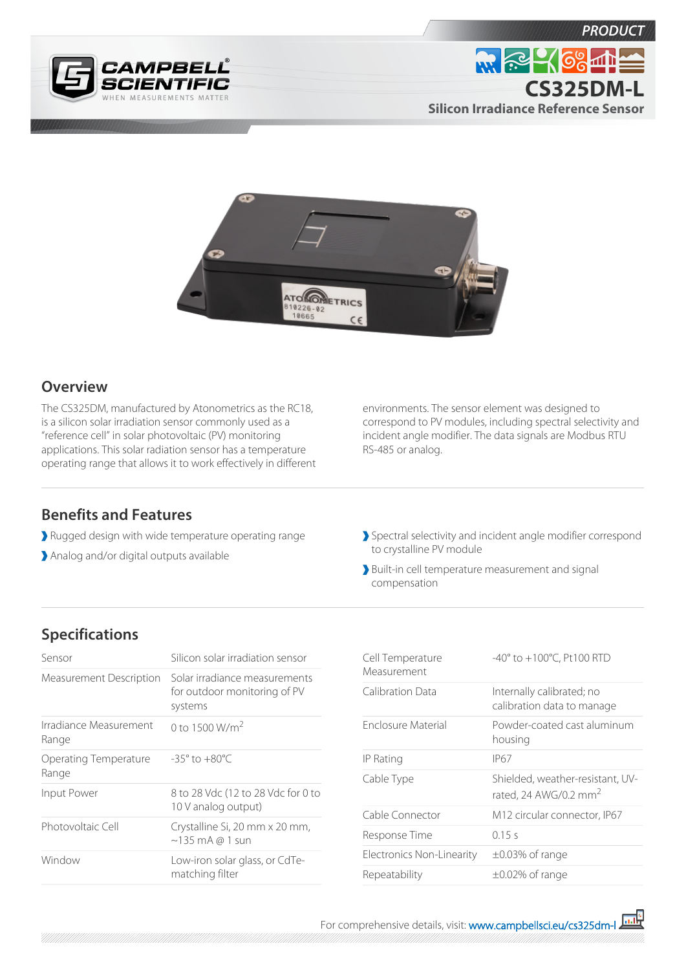





## **Overview**

The CS325DM, manufactured by Atonometrics as the RC18, is a silicon solar irradiation sensor commonly used as a "reference cell" in solar photovoltaic (PV) monitoring applications. This solar radiation sensor has a temperature operating range that allows it to work effectively in different environments. The sensor element was designed to correspond to PV modules, including spectral selectivity and incident angle modifier. The data signals are Modbus RTU RS-485 or analog.

## **Benefits and Features**

- Rugged design with wide temperature operating range
- Analog and/or digital outputs available
- Spectral selectivity and incident angle modifier correspond to crystalline PV module
- Built-in cell temperature measurement and signal compensation

## **Specifications**

| Sensor                          | Silicon solar irradiation sensor                                         |
|---------------------------------|--------------------------------------------------------------------------|
| Measurement Description         | Solar irradiance measurements<br>for outdoor monitoring of PV<br>systems |
| Irradiance Measurement<br>Range | 0 to 1500 $W/m2$                                                         |
| Operating Temperature<br>Range  | $-35^{\circ}$ to $+80^{\circ}$ C                                         |
| Input Power                     | 8 to 28 Vdc (12 to 28 Vdc for 0 to<br>10 V analog output)                |
| Photovoltaic Cell               | Crystalline Si, 20 mm x 20 mm,<br>$\sim$ 135 mA @ 1 sun                  |
| Window                          | Low-iron solar glass, or CdTe-<br>matching filter                        |

| Cell Temperature<br>Measurement | $-40^{\circ}$ to $+100^{\circ}$ C, Pt100 RTD                |
|---------------------------------|-------------------------------------------------------------|
| Calibration Data                | Internally calibrated; no<br>calibration data to manage     |
| Enclosure Material              | Powder-coated cast aluminum<br>housing                      |
| IP Rating                       | <b>IP67</b>                                                 |
| Cable Type                      | Shielded, weather-resistant, UV-<br>rated, 24 AWG/0.2 $mm2$ |
| Cable Connector                 | M12 circular connector, IP67                                |
| Response Time                   | 0.15 s                                                      |
| Electronics Non-Linearity       | $\pm 0.03\%$ of range                                       |
| Repeatability                   | $\pm 0.02\%$ of range                                       |